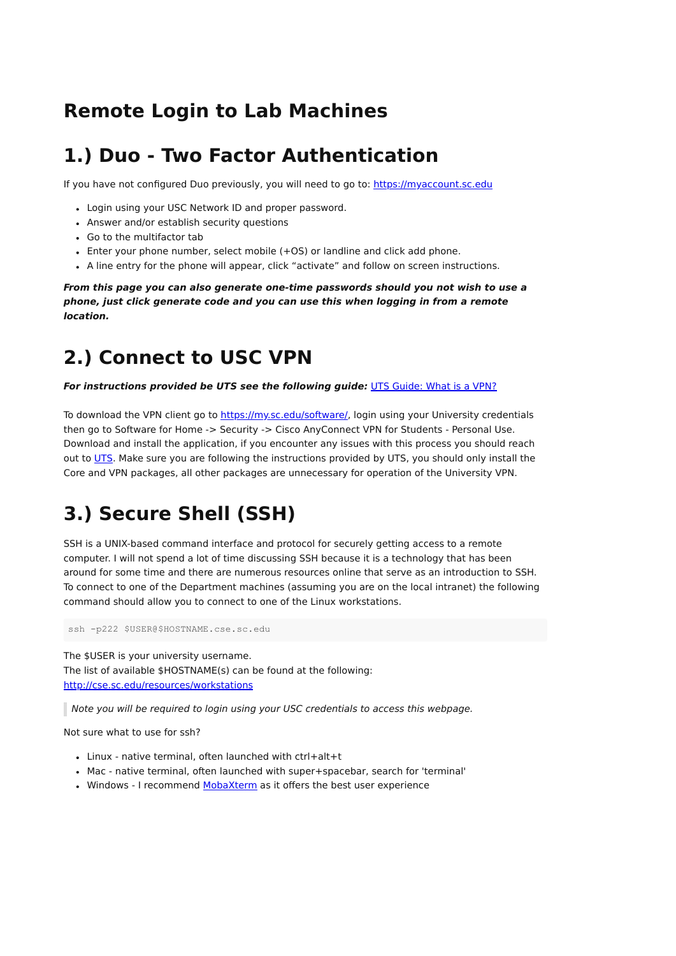#### **Remote Login to Lab Machines**

### **1.) Duo - Two Factor Authentication**

If you have not configured Duo previously, you will need to go to: [https://myaccount.sc.edu](https://myaccount.sc.edu/)

- Login using your USC Network ID and proper password.
- Answer and/or establish security questions
- Go to the multifactor tab
- Enter your phone number, select mobile (+OS) or landline and click add phone.
- A line entry for the phone will appear, click "activate" and follow on screen instructions.

**From this page you can also generate one-time passwords should you not wish to use a phone, just click generate code and you can use this when logging in from a remote location.**

### **2.) Connect to USC VPN**

**For instructions provided be UTS see the following guide:** [UTS Guide: What is a VPN?](https://scprod.service-now.com/kb_view.do?sysparm_article=KB0010878)

To download the VPN client go to <https://my.sc.edu/software/>, login using your University credentials then go to Software for Home -> Security -> Cisco AnyConnect VPN for Students - Personal Use. Download and install the application, if you encounter any issues with this process you should reach out to [UTS](https://uts.sc.edu/). Make sure you are following the instructions provided by UTS, you should only install the Core and VPN packages, all other packages are unnecessary for operation of the University VPN.

## **3.) Secure Shell (SSH)**

SSH is a UNIX-based command interface and protocol for securely getting access to a remote computer. I will not spend a lot of time discussing SSH because it is a technology that has been around for some time and there are numerous resources online that serve as an introduction to SSH. To connect to one of the Department machines (assuming you are on the local intranet) the following command should allow you to connect to one of the Linux workstations.

ssh -p222 \$USER@\$HOSTNAME.cse.sc.edu

The \$USER is your university username. The list of available \$HOSTNAME(s) can be found at the following: <http://cse.sc.edu/resources/workstations>

Note you will be required to login using your USC credentials to access this webpage.

Not sure what to use for ssh?

- Linux native terminal, often launched with ctrl+alt+t
- Mac native terminal, often launched with super+spacebar, search for 'terminal'
- . Windows I recommend [MobaXterm](https://mobaxterm.mobatek.net/download.html) as it offers the best user experience